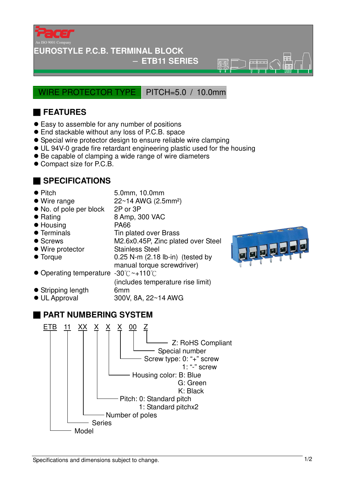

### **EUROSTYLE P.C.B. TERMINAL BLOCK**

### − **ETB11 SERIES**

 $\overline{\mathbb{R}}\overline{\mathbb{R}}$ 

WIRE PROTECTOR TYPE PITCH=5.0 / 10.0mm

# ■ **FEATURES**

- Easy to assemble for any number of positions
- End stackable without any loss of P.C.B. space
- Special wire protector design to ensure reliable wire clamping
- UL 94V-0 grade fire retardant engineering plastic used for the housing
- Be capable of clamping a wide range of wire diameters
- Compact size for P.C.B.

## ■ **SPECIFICATIONS**

- 
- Pitch 5.0mm, 10.0mm
- $\bullet$  Wire range  $22~14$  AWG (2.5mm<sup>2</sup>)
- No. of pole per block 2P or 3P
- Rating 8 Amp, 300 VAC
- Housing PA66
- Terminals Tin plated over Brass
- Screws M2.6x0.45P, Zinc plated over Steel
- Wire protector Stainless Steel
- 
- Torque 0.25 N-m (2.18 lb-in) (tested by manual torque screwdriver)
- Operating temperature -30℃~+110℃
- (includes temperature rise limit) Stripping length 6mm
- UL Approval 300V, 8A, 22~14 AWG
	-